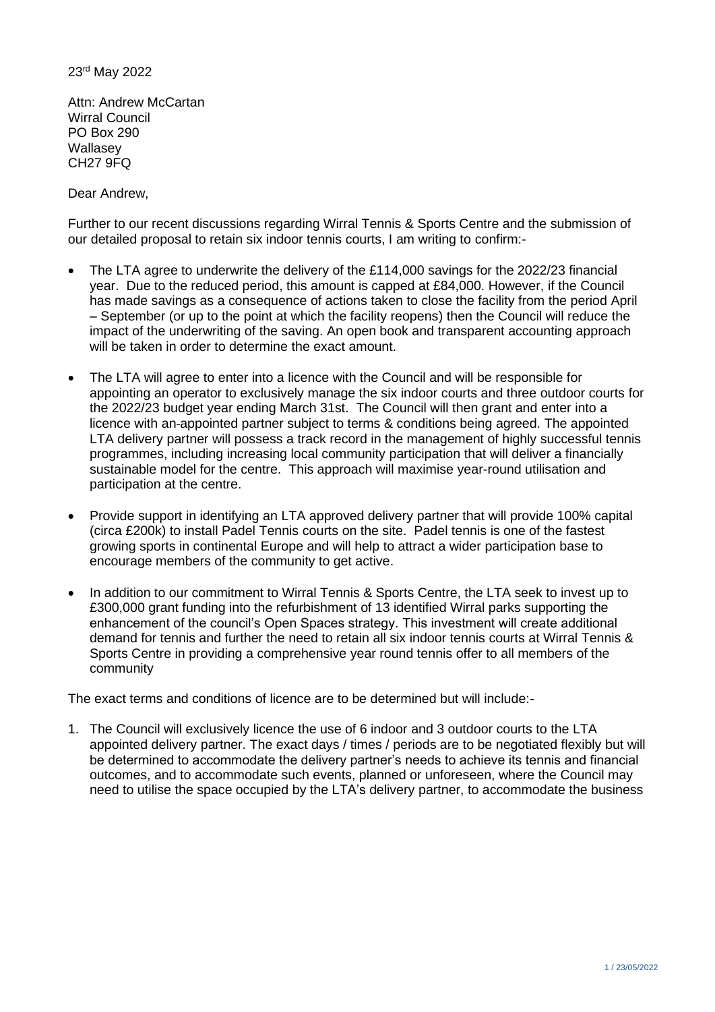## 23rd May 2022

Attn: Andrew McCartan Wirral Council PO Box 290 **Wallasev** CH27 9FQ

Dear Andrew,

Further to our recent discussions regarding Wirral Tennis & Sports Centre and the submission of our detailed proposal to retain six indoor tennis courts, I am writing to confirm:-

- The LTA agree to underwrite the delivery of the £114,000 savings for the 2022/23 financial year. Due to the reduced period, this amount is capped at £84,000. However, if the Council has made savings as a consequence of actions taken to close the facility from the period April – September (or up to the point at which the facility reopens) then the Council will reduce the impact of the underwriting of the saving. An open book and transparent accounting approach will be taken in order to determine the exact amount.
- The LTA will agree to enter into a licence with the Council and will be responsible for appointing an operator to exclusively manage the six indoor courts and three outdoor courts for the 2022/23 budget year ending March 31st. The Council will then grant and enter into a licence with an appointed partner subject to terms & conditions being agreed. The appointed LTA delivery partner will possess a track record in the management of highly successful tennis programmes, including increasing local community participation that will deliver a financially sustainable model for the centre. This approach will maximise year-round utilisation and participation at the centre.
- Provide support in identifying an LTA approved delivery partner that will provide 100% capital (circa £200k) to install Padel Tennis courts on the site. Padel tennis is one of the fastest growing sports in continental Europe and will help to attract a wider participation base to encourage members of the community to get active.
- In addition to our commitment to Wirral Tennis & Sports Centre, the LTA seek to invest up to £300,000 grant funding into the refurbishment of 13 identified Wirral parks supporting the enhancement of the council's Open Spaces strategy. This investment will create additional demand for tennis and further the need to retain all six indoor tennis courts at Wirral Tennis & Sports Centre in providing a comprehensive year round tennis offer to all members of the community

The exact terms and conditions of licence are to be determined but will include:-

1. The Council will exclusively licence the use of 6 indoor and 3 outdoor courts to the LTA appointed delivery partner. The exact days / times / periods are to be negotiated flexibly but will be determined to accommodate the delivery partner's needs to achieve its tennis and financial outcomes, and to accommodate such events, planned or unforeseen, where the Council may need to utilise the space occupied by the LTA's delivery partner, to accommodate the business